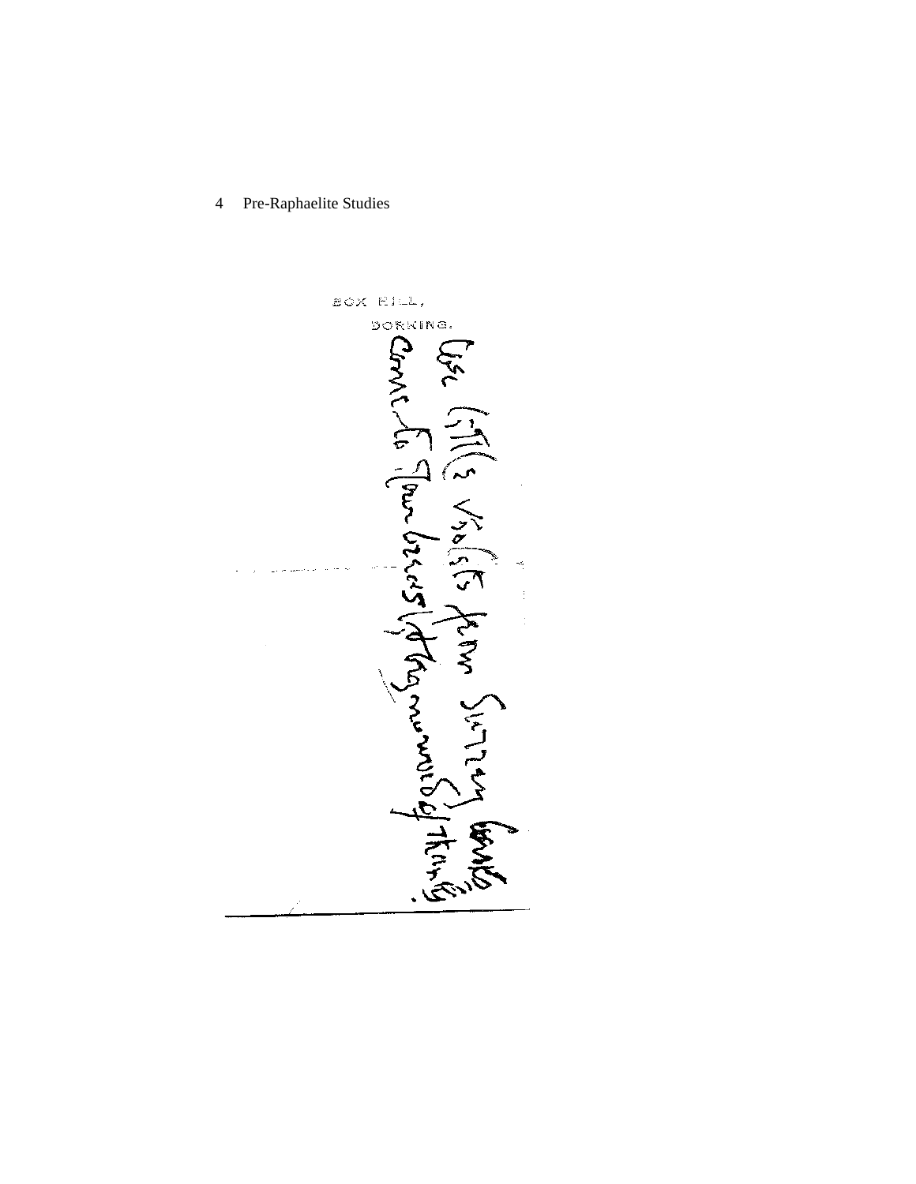4 Pre-Raphaelite Studies

BOX RILL, DORKING. Corri Ellis visisis te tem Surrentes 1997  $\sum_{k=1}^{n}$ ۍ<br>پخې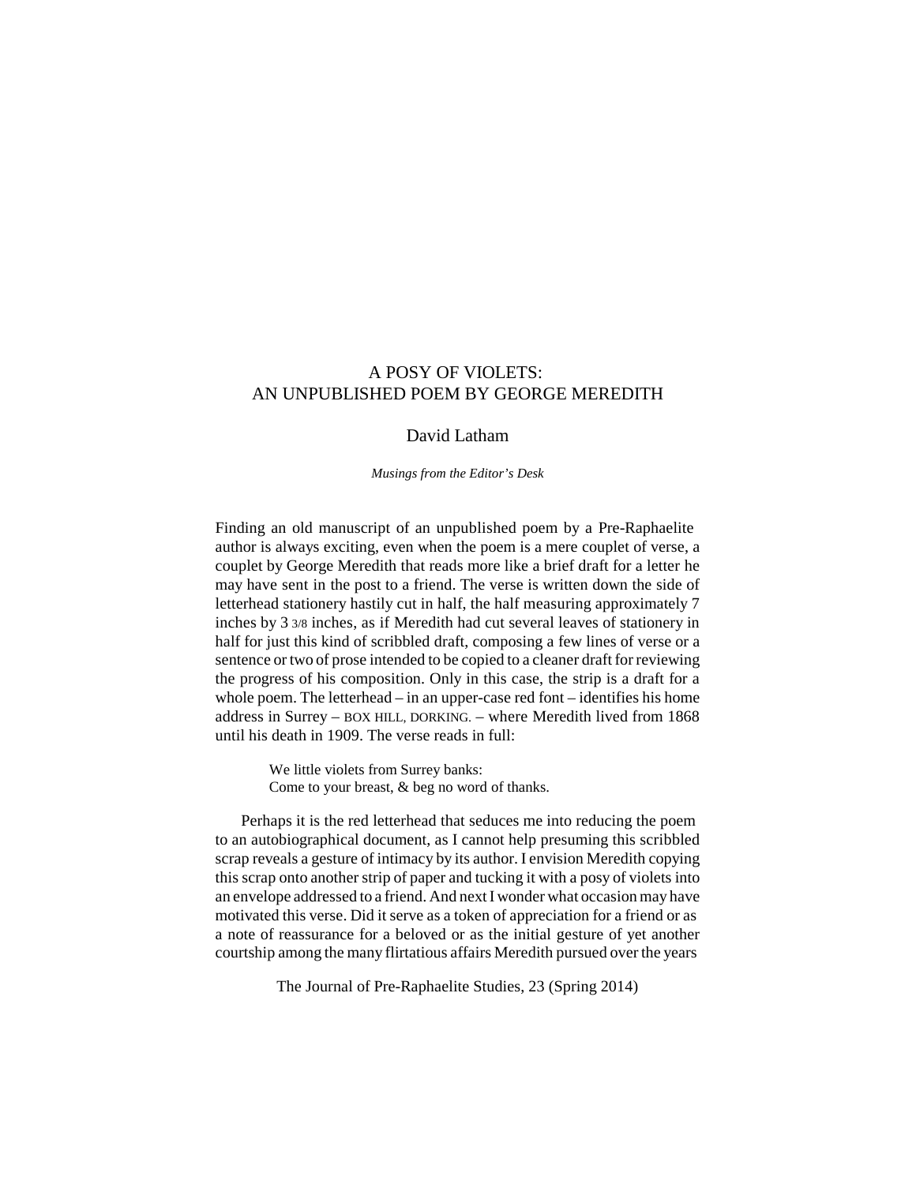# A POSY OF VIOLETS: AN UNPUBLISHED POEM BY GEORGE MEREDITH

# David Latham

*Musings from the Editor's Desk*

Finding an old manuscript of an unpublished poem by a Pre-Raphaelite author is always exciting, even when the poem is a mere couplet of verse, a couplet by George Meredith that reads more like a brief draft for a letter he may have sent in the post to a friend. The verse is written down the side of letterhead stationery hastily cut in half, the half measuring approximately 7 inches by 3 3/8 inches, as if Meredith had cut several leaves of stationery in half for just this kind of scribbled draft, composing a few lines of verse or a sentence or two of prose intended to be copied to a cleaner draft for reviewing the progress of his composition. Only in this case, the strip is a draft for a whole poem. The letterhead – in an upper-case red font – identifies his home address in Surrey – BOX HILL, DORKING. – where Meredith lived from 1868 until his death in 1909. The verse reads in full:

> We little violets from Surrey banks: Come to your breast, & beg no word of thanks.

Perhaps it is the red letterhead that seduces me into reducing the poem to an autobiographical document, as I cannot help presuming this scribbled scrap reveals a gesture of intimacy by its author. I envision Meredith copying this scrap onto another strip of paper and tucking it with a posy of violets into an envelope addressed to a friend. And next I wonder what occasion may have motivated this verse. Did it serve as a token of appreciation for a friend or as a note of reassurance for a beloved or as the initial gesture of yet another courtship among the many flirtatious affairs Meredith pursued over the years

The Journal of Pre-Raphaelite Studies, 23 (Spring 2014)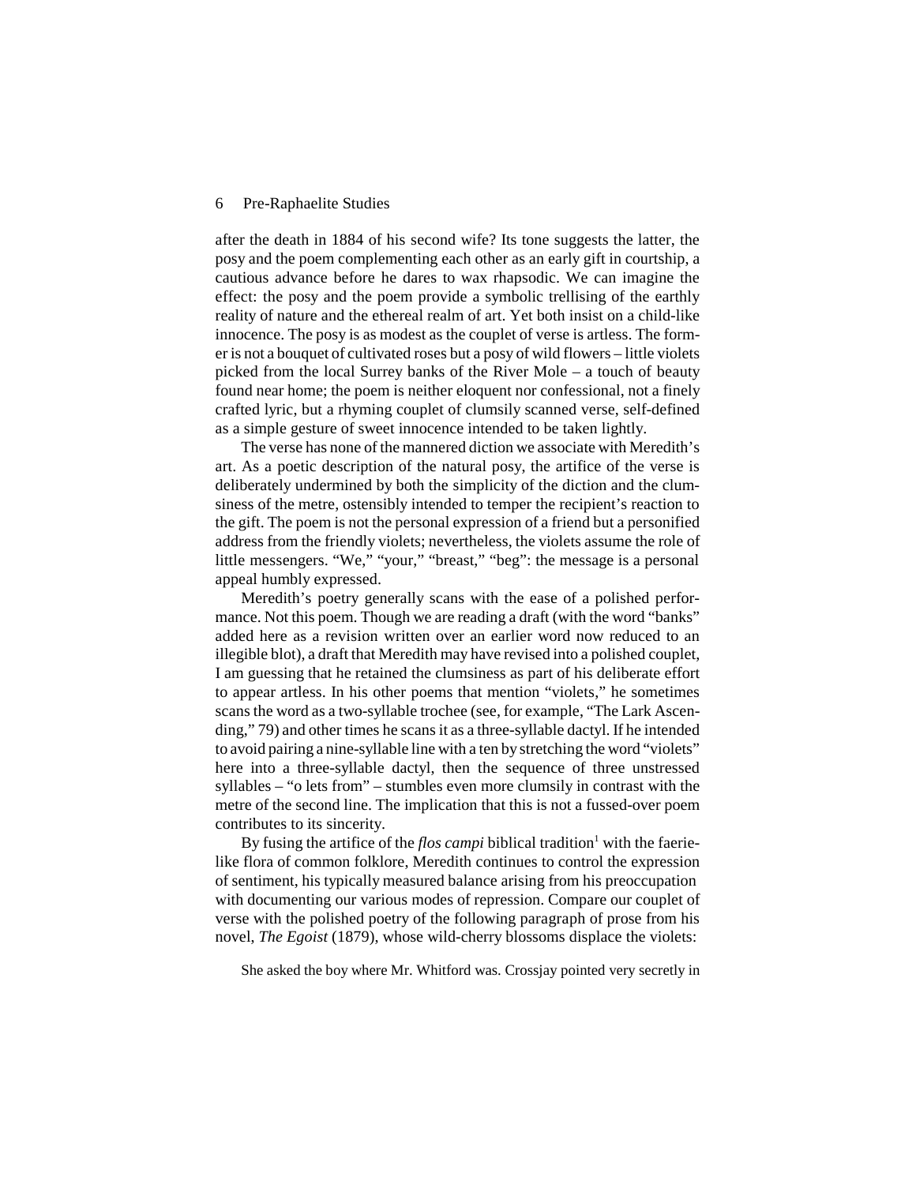#### 6 Pre-Raphaelite Studies

after the death in 1884 of his second wife? Its tone suggests the latter, the posy and the poem complementing each other as an early giftin courtship, a cautious advance before he dares to wax rhapsodic. We can imagine the effect: the posy and the poem provide a symbolic trellising of the earthly reality of nature and the ethereal realm of art. Yet both insist on a child-like innocence. The posy is as modest as the couplet of verse is artless. The former is not a bouquet of cultivated roses but a posy of wild flowers – little violets picked from the local Surrey banks of the River Mole – a touch of beauty found near home; the poem is neither eloquent nor confessional, not a finely crafted lyric, but a rhyming couplet of clumsily scanned verse, self-defined as a simple gesture of sweet innocence intended to be taken lightly.

The verse has none of the mannered diction we associate with Meredith's art. As a poetic description of the natural posy, the artifice of the verse is deliberately undermined by both the simplicity of the diction and the clumsiness of the metre, ostensibly intended to temper the recipient's reaction to the gift. The poem is not the personal expression of a friend but a personified address from the friendly violets; nevertheless, the violets assume the role of little messengers. "We," "your," "breast," "beg": the message is a personal appeal humbly expressed.

Meredith's poetry generally scans with the ease of a polished performance. Not this poem. Though we are reading a draft (with the word "banks" added here as a revision written over an earlier word now reduced to an illegible blot), a draft that Meredith may have revised into a polished couplet, I am guessing that he retained the clumsiness as part of his deliberate effort to appear artless. In his other poems that mention "violets," he sometimes scans the word as a two-syllable trochee (see, for example, "The Lark Ascending," 79) and other times he scans it as a three-syllable dactyl. If he intended to avoid pairing a nine-syllable line with a ten by stretching the word "violets" here into a three-syllable dactyl, then the sequence of three unstressed syllables – "o lets from" – stumbles even more clumsily in contrast with the metre of the second line. The implication that this is not a fussed-over poem contributes to its sincerity.

By fusing the artifice of the *flos campi* biblical tradition<sup>1</sup> with the faerielike flora of common folklore, Meredith continues to control the expression of sentiment, his typically measured balance arising from his preoccupation with documenting our various modes of repression. Compare our couplet of verse with the polished poetry of the following paragraph of prose from his novel, *The Egoist* (1879), whose wild-cherry blossoms displace the violets:

She asked the boy where Mr. Whitford was. Crossjay pointed very secretly in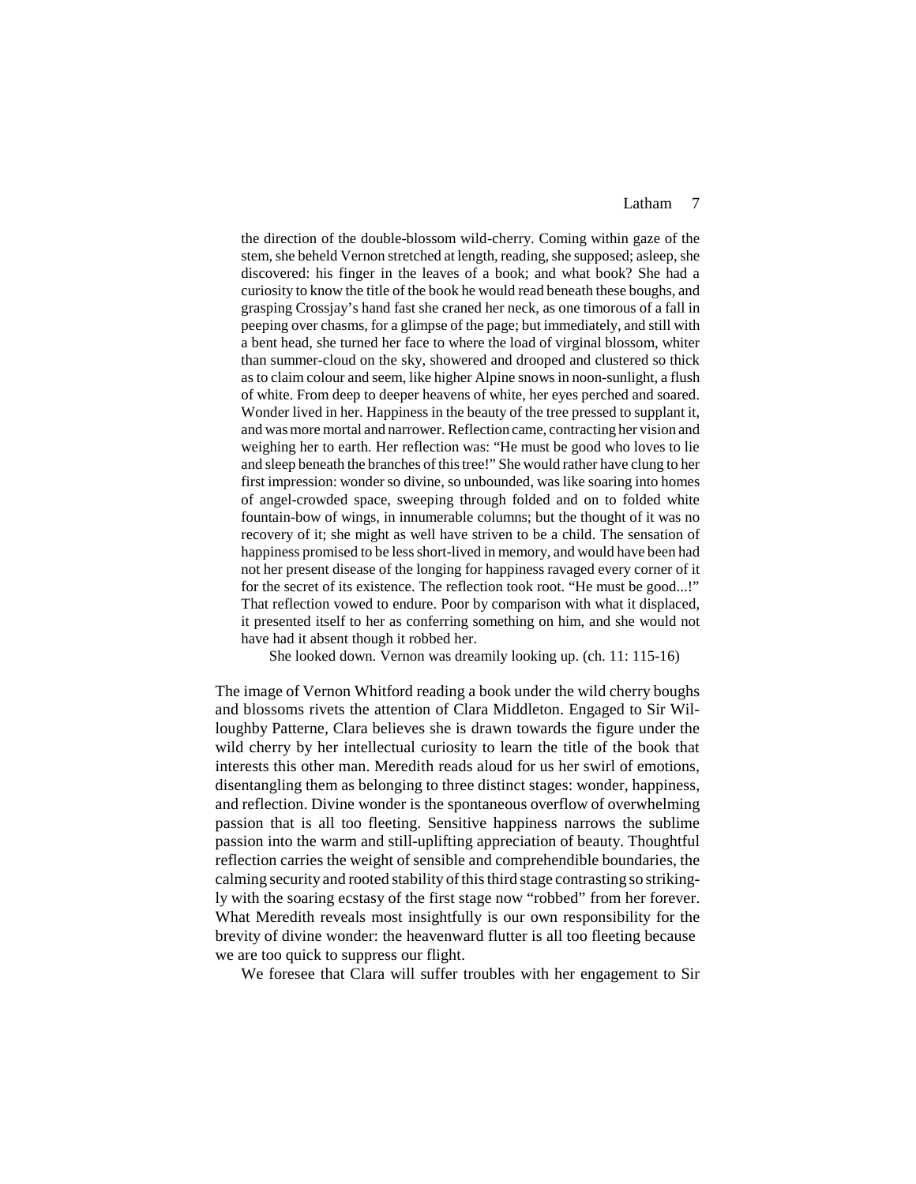### Latham 7

the direction of the double-blossom wild-cherry. Coming within gaze of the stem, she beheld Vernon stretched at length, reading, she supposed; asleep, she discovered: his finger in the leaves of a book; and what book? She had a curiosity to know the title of the book he would read beneath these boughs, and grasping Crossjay's hand fastshe craned her neck, as one timorous of a fall in peeping over chasms, for a glimpse of the page; but immediately, and still with a bent head, she turned her face to where the load of virginal blossom, whiter than summer-cloud on the sky, showered and drooped and clustered so thick asto claim colour and seem, like higher Alpine snowsin noon-sunlight, a flush of white. From deep to deeper heavens of white, her eyes perched and soared. Wonder lived in her. Happiness in the beauty of the tree pressed to supplant it, and wasmore mortal and narrower.Reflection came, contracting her vision and weighing her to earth. Her reflection was: "He must be good who loves to lie and sleep beneath the branches of this tree!" She would rather have clung to her first impression: wonder so divine, so unbounded, was like soaring into homes of angel-crowded space, sweeping through folded and on to folded white fountain-bow of wings, in innumerable columns; but the thought of it was no recovery of it; she might as well have striven to be a child. The sensation of happiness promised to be less short-lived in memory, and would have been had not her present disease of the longing for happiness ravaged every corner of it for the secret of its existence. The reflection took root. "He must be good...!" That reflection vowed to endure. Poor by comparison with what it displaced, it presented itself to her as conferring something on him, and she would not have had it absent though it robbed her.

She looked down. Vernon was dreamily looking up. (ch. 11: 115-16)

The image of Vernon Whitford reading a book under the wild cherry boughs and blossoms rivets the attention of Clara Middleton. Engaged to Sir Willoughby Patterne, Clara believes she is drawn towards the figure under the wild cherry by her intellectual curiosity to learn the title of the book that interests this other man. Meredith reads aloud for us her swirl of emotions, disentangling them as belonging to three distinct stages: wonder, happiness, and reflection. Divine wonder is the spontaneous overflow of overwhelming passion that is all too fleeting. Sensitive happiness narrows the sublime passion into the warm and still-uplifting appreciation of beauty. Thoughtful reflection carries the weight of sensible and comprehendible boundaries, the calming security and rooted stability of this third stage contrasting so strikingly with the soaring ecstasy of the first stage now "robbed" from her forever. What Meredith reveals most insightfully is our own responsibility for the brevity of divine wonder: the heavenward flutter is all too fleeting because we are too quick to suppress our flight.

We foresee that Clara will suffer troubles with her engagement to Sir